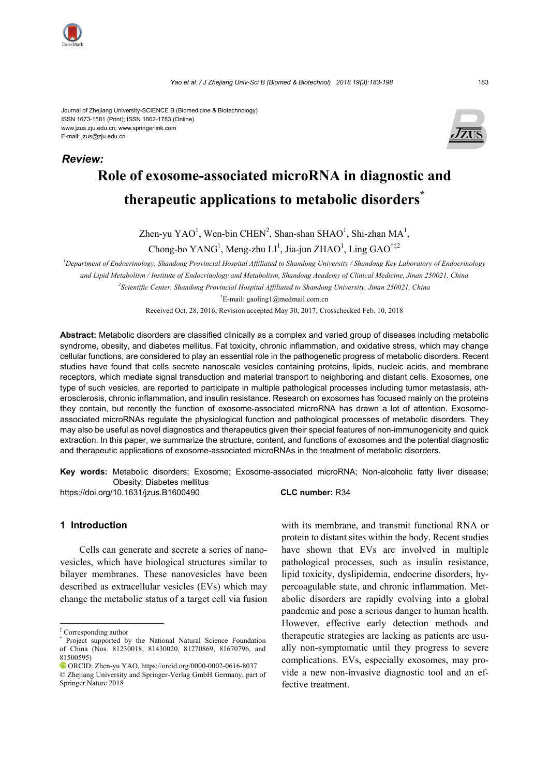

*Review:* 

www.jzus.zju.edu.cn; www.springerlink.com E-mail: jzus@zju.edu.cn



# **Role of exosome-associated microRNA in diagnostic and therapeutic applications to metabolic disorders\***

Zhen-yu YAO<sup>1</sup>, Wen-bin CHEN<sup>2</sup>, Shan-shan SHAO<sup>1</sup>, Shi-zhan MA<sup>1</sup>,

Chong-bo YANG<sup>1</sup>, Meng-zhu LI<sup>1</sup>, Jia-jun ZHAO<sup>1</sup>, Ling GAO<sup>†‡2</sup>

*1 Department of Endocrinology, Shandong Provincial Hospital Affiliated to Shandong University / Shandong Key Laboratory of Endocrinology and Lipid Metabolism / Institute of Endocrinology and Metabolism, Shandong Academy of Clinical Medicine, Jinan 250021, China* 

*2 Scientific Center, Shandong Provincial Hospital Affiliated to Shandong University, Jinan 250021, China* 

† E-mail: gaoling1@medmail.com.cn

Received Oct. 28, 2016; Revision accepted May 30, 2017; Crosschecked Feb. 10, 2018

**Abstract:** Metabolic disorders are classified clinically as a complex and varied group of diseases including metabolic syndrome, obesity, and diabetes mellitus. Fat toxicity, chronic inflammation, and oxidative stress, which may change cellular functions, are considered to play an essential role in the pathogenetic progress of metabolic disorders. Recent studies have found that cells secrete nanoscale vesicles containing proteins, lipids, nucleic acids, and membrane receptors, which mediate signal transduction and material transport to neighboring and distant cells. Exosomes, one type of such vesicles, are reported to participate in multiple pathological processes including tumor metastasis, atherosclerosis, chronic inflammation, and insulin resistance. Research on exosomes has focused mainly on the proteins they contain, but recently the function of exosome-associated microRNA has drawn a lot of attention. Exosomeassociated microRNAs regulate the physiological function and pathological processes of metabolic disorders. They may also be useful as novel diagnostics and therapeutics given their special features of non-immunogenicity and quick extraction. In this paper, we summarize the structure, content, and functions of exosomes and the potential diagnostic and therapeutic applications of exosome-associated microRNAs in the treatment of metabolic disorders.

**Key words:** Metabolic disorders; Exosome; Exosome-associated microRNA; Non-alcoholic fatty liver disease; Obesity; Diabetes mellitus

https://doi.org/10.1631/jzus.B1600490 **CLC number:** R34

## **1 Introduction**

Cells can generate and secrete a series of nanovesicles, which have biological structures similar to bilayer membranes. These nanovesicles have been described as extracellular vesicles (EVs) which may change the metabolic status of a target cell via fusion

with its membrane, and transmit functional RNA or protein to distant sites within the body. Recent studies have shown that EVs are involved in multiple pathological processes, such as insulin resistance, lipid toxicity, dyslipidemia, endocrine disorders, hypercoagulable state, and chronic inflammation. Metabolic disorders are rapidly evolving into a global pandemic and pose a serious danger to human health. However, effective early detection methods and therapeutic strategies are lacking as patients are usually non-symptomatic until they progress to severe complications. EVs, especially exosomes, may provide a new non-invasive diagnostic tool and an effective treatment.

<sup>‡</sup> Corresponding author \* Project supported by the National Natural Science Foundation of China (Nos. 81230018, 81430020, 81270869, 81670796, and 81500595)

ORCID: Zhen-yu YAO, https://orcid.org/0000-0002-0616-8037 © Zhejiang University and Springer-Verlag GmbH Germany, part of Springer Nature 2018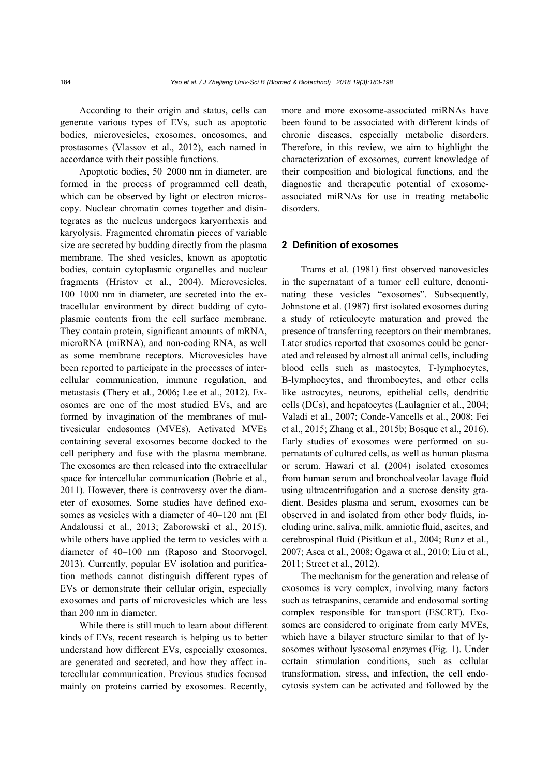According to their origin and status, cells can generate various types of EVs, such as apoptotic bodies, microvesicles, exosomes, oncosomes, and prostasomes (Vlassov et al., 2012), each named in accordance with their possible functions.

Apoptotic bodies, 50–2000 nm in diameter, are formed in the process of programmed cell death, which can be observed by light or electron microscopy. Nuclear chromatin comes together and disintegrates as the nucleus undergoes karyorrhexis and karyolysis. Fragmented chromatin pieces of variable size are secreted by budding directly from the plasma membrane. The shed vesicles, known as apoptotic bodies, contain cytoplasmic organelles and nuclear fragments (Hristov et al., 2004). Microvesicles, 100‒1000 nm in diameter, are secreted into the extracellular environment by direct budding of cytoplasmic contents from the cell surface membrane. They contain protein, significant amounts of mRNA, microRNA (miRNA), and non-coding RNA, as well as some membrane receptors. Microvesicles have been reported to participate in the processes of intercellular communication, immune regulation, and metastasis (Thery et al., 2006; Lee et al., 2012). Exosomes are one of the most studied EVs, and are formed by invagination of the membranes of multivesicular endosomes (MVEs). Activated MVEs containing several exosomes become docked to the cell periphery and fuse with the plasma membrane. The exosomes are then released into the extracellular space for intercellular communication (Bobrie et al., 2011). However, there is controversy over the diameter of exosomes. Some studies have defined exosomes as vesicles with a diameter of 40–120 nm (El Andaloussi et al., 2013; Zaborowski et al., 2015), while others have applied the term to vesicles with a diameter of 40–100 nm (Raposo and Stoorvogel, 2013). Currently, popular EV isolation and purification methods cannot distinguish different types of EVs or demonstrate their cellular origin, especially exosomes and parts of microvesicles which are less than 200 nm in diameter.

While there is still much to learn about different kinds of EVs, recent research is helping us to better understand how different EVs, especially exosomes, are generated and secreted, and how they affect intercellular communication. Previous studies focused mainly on proteins carried by exosomes. Recently, more and more exosome-associated miRNAs have been found to be associated with different kinds of chronic diseases, especially metabolic disorders. Therefore, in this review, we aim to highlight the characterization of exosomes, current knowledge of their composition and biological functions, and the diagnostic and therapeutic potential of exosomeassociated miRNAs for use in treating metabolic disorders.

#### **2 Definition of exosomes**

Trams et al. (1981) first observed nanovesicles in the supernatant of a tumor cell culture, denominating these vesicles "exosomes". Subsequently, Johnstone et al. (1987) first isolated exosomes during a study of reticulocyte maturation and proved the presence of transferring receptors on their membranes. Later studies reported that exosomes could be generated and released by almost all animal cells, including blood cells such as mastocytes, T-lymphocytes, B-lymphocytes, and thrombocytes, and other cells like astrocytes, neurons, epithelial cells, dendritic cells (DCs), and hepatocytes (Laulagnier et al., 2004; Valadi et al., 2007; Conde-Vancells et al., 2008; Fei et al., 2015; Zhang et al., 2015b; Bosque et al., 2016). Early studies of exosomes were performed on supernatants of cultured cells, as well as human plasma or serum. Hawari et al. (2004) isolated exosomes from human serum and bronchoalveolar lavage fluid using ultracentrifugation and a sucrose density gradient. Besides plasma and serum, exosomes can be observed in and isolated from other body fluids, including urine, saliva, milk, amniotic fluid, ascites, and cerebrospinal fluid (Pisitkun et al., 2004; Runz et al., 2007; Asea et al., 2008; Ogawa et al., 2010; Liu et al., 2011; Street et al., 2012).

The mechanism for the generation and release of exosomes is very complex, involving many factors such as tetraspanins, ceramide and endosomal sorting complex responsible for transport (ESCRT). Exosomes are considered to originate from early MVEs, which have a bilayer structure similar to that of lysosomes without lysosomal enzymes (Fig. 1). Under certain stimulation conditions, such as cellular transformation, stress, and infection, the cell endocytosis system can be activated and followed by the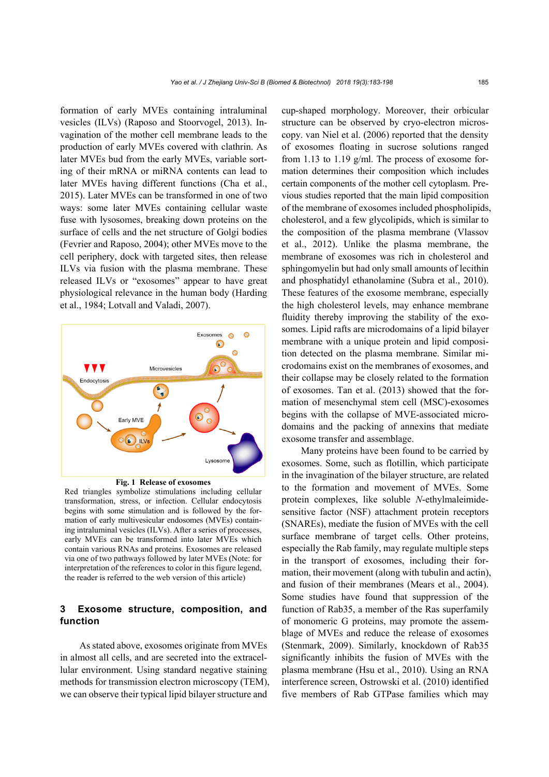formation of early MVEs containing intraluminal vesicles (ILVs) (Raposo and Stoorvogel, 2013). Invagination of the mother cell membrane leads to the production of early MVEs covered with clathrin. As later MVEs bud from the early MVEs, variable sorting of their mRNA or miRNA contents can lead to later MVEs having different functions (Cha et al., 2015). Later MVEs can be transformed in one of two ways: some later MVEs containing cellular waste fuse with lysosomes, breaking down proteins on the surface of cells and the net structure of Golgi bodies (Fevrier and Raposo, 2004); other MVEs move to the cell periphery, dock with targeted sites, then release ILVs via fusion with the plasma membrane. These released ILVs or "exosomes" appear to have great physiological relevance in the human body (Harding et al., 1984; Lotvall and Valadi, 2007).



#### **Fig. 1 Release of exosomes**

Red triangles symbolize stimulations including cellular transformation, stress, or infection. Cellular endocytosis begins with some stimulation and is followed by the formation of early multivesicular endosomes (MVEs) containing intraluminal vesicles (ILVs). After a series of processes, early MVEs can be transformed into later MVEs which contain various RNAs and proteins. Exosomes are released via one of two pathways followed by later MVEs (Note: for interpretation of the references to color in this figure legend, the reader is referred to the web version of this article)

## **3 Exosome structure, composition, and function**

As stated above, exosomes originate from MVEs in almost all cells, and are secreted into the extracellular environment. Using standard negative staining methods for transmission electron microscopy (TEM), we can observe their typical lipid bilayer structure and

cup-shaped morphology. Moreover, their orbicular structure can be observed by cryo-electron microscopy. van Niel et al. (2006) reported that the density of exosomes floating in sucrose solutions ranged from 1.13 to 1.19 g/ml. The process of exosome formation determines their composition which includes certain components of the mother cell cytoplasm. Previous studies reported that the main lipid composition of the membrane of exosomes included phospholipids, cholesterol, and a few glycolipids, which is similar to the composition of the plasma membrane (Vlassov et al., 2012). Unlike the plasma membrane, the membrane of exosomes was rich in cholesterol and sphingomyelin but had only small amounts of lecithin and phosphatidyl ethanolamine (Subra et al., 2010). These features of the exosome membrane, especially the high cholesterol levels, may enhance membrane fluidity thereby improving the stability of the exosomes. Lipid rafts are microdomains of a lipid bilayer membrane with a unique protein and lipid composition detected on the plasma membrane. Similar microdomains exist on the membranes of exosomes, and their collapse may be closely related to the formation of exosomes. Tan et al. (2013) showed that the formation of mesenchymal stem cell (MSC)-exosomes begins with the collapse of MVE-associated microdomains and the packing of annexins that mediate exosome transfer and assemblage.

Many proteins have been found to be carried by exosomes. Some, such as flotillin, which participate in the invagination of the bilayer structure, are related to the formation and movement of MVEs. Some protein complexes, like soluble *N*-ethylmaleimidesensitive factor (NSF) attachment protein receptors (SNAREs), mediate the fusion of MVEs with the cell surface membrane of target cells. Other proteins, especially the Rab family, may regulate multiple steps in the transport of exosomes, including their formation, their movement (along with tubulin and actin), and fusion of their membranes (Mears et al., 2004). Some studies have found that suppression of the function of Rab35, a member of the Ras superfamily of monomeric G proteins, may promote the assemblage of MVEs and reduce the release of exosomes (Stenmark, 2009). Similarly, knockdown of Rab35 significantly inhibits the fusion of MVEs with the plasma membrane (Hsu et al., 2010). Using an RNA interference screen, Ostrowski et al. (2010) identified five members of Rab GTPase families which may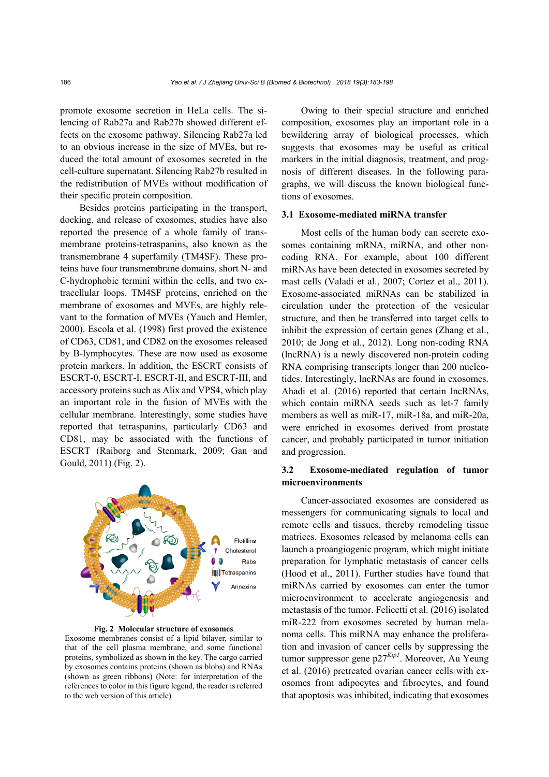promote exosome secretion in HeLa cells. The silencing of Rab27a and Rab27b showed different effects on the exosome pathway. Silencing Rab27a led to an obvious increase in the size of MVEs, but reduced the total amount of exosomes secreted in the cell-culture supernatant. Silencing Rab27b resulted in the redistribution of MVEs without modification of their specific protein composition.

Besides proteins participating in the transport, docking, and release of exosomes, studies have also reported the presence of a whole family of transmembrane proteins-tetraspanins, also known as the transmembrane 4 superfamily (TM4SF). These proteins have four transmembrane domains, short N- and C-hydrophobic termini within the cells, and two extracellular loops. TM4SF proteins, enriched on the membrane of exosomes and MVEs, are highly relevant to the formation of MVEs (Yauch and Hemler, 2000). Escola et al. (1998) first proved the existence of CD63, CD81, and CD82 on the exosomes released by B-lymphocytes. These are now used as exosome protein markers. In addition, the ESCRT consists of ESCRT-0, ESCRT-I, ESCRT-II, and ESCRT-III, and accessory proteins such as Alix and VPS4, which play an important role in the fusion of MVEs with the cellular membrane. Interestingly, some studies have reported that tetraspanins, particularly CD63 and CD81, may be associated with the functions of ESCRT (Raiborg and Stenmark, 2009; Gan and Gould, 2011) (Fig. 2).



**Fig. 2 Molecular structure of exosomes** 

Exosome membranes consist of a lipid bilayer, similar to that of the cell plasma membrane, and some functional proteins, symbolized as shown in the key. The cargo carried by exosomes contains proteins (shown as blobs) and RNAs (shown as green ribbons) (Note: for interpretation of the references to color in this figure legend, the reader is referred to the web version of this article)

Owing to their special structure and enriched composition, exosomes play an important role in a bewildering array of biological processes, which suggests that exosomes may be useful as critical markers in the initial diagnosis, treatment, and prognosis of different diseases. In the following paragraphs, we will discuss the known biological functions of exosomes.

#### **3.1 Exosome-mediated miRNA transfer**

Most cells of the human body can secrete exosomes containing mRNA, miRNA, and other noncoding RNA. For example, about 100 different miRNAs have been detected in exosomes secreted by mast cells (Valadi et al., 2007; Cortez et al., 2011). Exosome-associated miRNAs can be stabilized in circulation under the protection of the vesicular structure, and then be transferred into target cells to inhibit the expression of certain genes (Zhang et al., 2010; de Jong et al., 2012). Long non-coding RNA (lncRNA) is a newly discovered non-protein coding RNA comprising transcripts longer than 200 nucleotides. Interestingly, lncRNAs are found in exosomes. Ahadi et al. (2016) reported that certain lncRNAs, which contain miRNA seeds such as let-7 family members as well as miR-17, miR-18a, and miR-20a, were enriched in exosomes derived from prostate cancer, and probably participated in tumor initiation and progression.

## **3.2 Exosome-mediated regulation of tumor microenvironments**

Cancer-associated exosomes are considered as messengers for communicating signals to local and remote cells and tissues, thereby remodeling tissue matrices. Exosomes released by melanoma cells can launch a proangiogenic program, which might initiate preparation for lymphatic metastasis of cancer cells (Hood et al., 2011). Further studies have found that miRNAs carried by exosomes can enter the tumor microenvironment to accelerate angiogenesis and metastasis of the tumor. Felicetti et al. (2016) isolated miR-222 from exosomes secreted by human melanoma cells. This miRNA may enhance the proliferation and invasion of cancer cells by suppressing the tumor suppressor gene p27*Kip1*. Moreover, Au Yeung et al. (2016) pretreated ovarian cancer cells with exosomes from adipocytes and fibrocytes, and found that apoptosis was inhibited, indicating that exosomes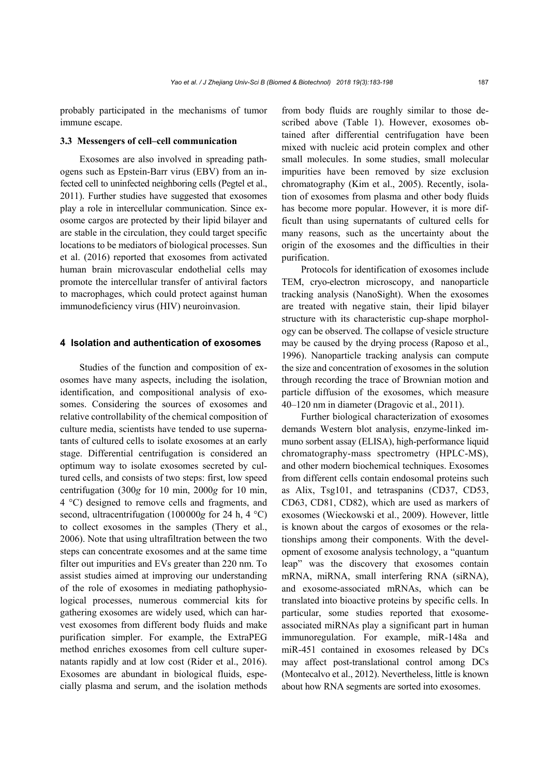probably participated in the mechanisms of tumor immune escape.

#### **3.3 Messengers of cell–cell communication**

Exosomes are also involved in spreading pathogens such as Epstein-Barr virus (EBV) from an infected cell to uninfected neighboring cells (Pegtel et al., 2011). Further studies have suggested that exosomes play a role in intercellular communication. Since exosome cargos are protected by their lipid bilayer and are stable in the circulation, they could target specific locations to be mediators of biological processes. Sun et al. (2016) reported that exosomes from activated human brain microvascular endothelial cells may promote the intercellular transfer of antiviral factors to macrophages, which could protect against human immunodeficiency virus (HIV) neuroinvasion.

#### **4 Isolation and authentication of exosomes**

Studies of the function and composition of exosomes have many aspects, including the isolation, identification, and compositional analysis of exosomes. Considering the sources of exosomes and relative controllability of the chemical composition of culture media, scientists have tended to use supernatants of cultured cells to isolate exosomes at an early stage. Differential centrifugation is considered an optimum way to isolate exosomes secreted by cultured cells, and consists of two steps: first, low speed centrifugation (300*g* for 10 min, 2000*g* for 10 min, 4 °C) designed to remove cells and fragments, and second, ultracentrifugation (100000*g* for 24 h, 4 °C) to collect exosomes in the samples (Thery et al., 2006). Note that using ultrafiltration between the two steps can concentrate exosomes and at the same time filter out impurities and EVs greater than 220 nm. To assist studies aimed at improving our understanding of the role of exosomes in mediating pathophysiological processes, numerous commercial kits for gathering exosomes are widely used, which can harvest exosomes from different body fluids and make purification simpler. For example, the ExtraPEG method enriches exosomes from cell culture supernatants rapidly and at low cost (Rider et al., 2016). Exosomes are abundant in biological fluids, especially plasma and serum, and the isolation methods from body fluids are roughly similar to those described above (Table 1). However, exosomes obtained after differential centrifugation have been mixed with nucleic acid protein complex and other small molecules. In some studies, small molecular impurities have been removed by size exclusion chromatography (Kim et al., 2005). Recently, isolation of exosomes from plasma and other body fluids has become more popular. However, it is more difficult than using supernatants of cultured cells for many reasons, such as the uncertainty about the origin of the exosomes and the difficulties in their purification.

Protocols for identification of exosomes include TEM, cryo-electron microscopy, and nanoparticle tracking analysis (NanoSight). When the exosomes are treated with negative stain, their lipid bilayer structure with its characteristic cup-shape morphology can be observed. The collapse of vesicle structure may be caused by the drying process (Raposo et al., 1996). Nanoparticle tracking analysis can compute the size and concentration of exosomes in the solution through recording the trace of Brownian motion and particle diffusion of the exosomes, which measure 40–120 nm in diameter (Dragovic et al., 2011).

Further biological characterization of exosomes demands Western blot analysis, enzyme-linked immuno sorbent assay (ELISA), high-performance liquid chromatography-mass spectrometry (HPLC-MS), and other modern biochemical techniques. Exosomes from different cells contain endosomal proteins such as Alix, Tsg101, and tetraspanins (CD37, CD53, CD63, CD81, CD82), which are used as markers of exosomes (Wieckowski et al., 2009). However, little is known about the cargos of exosomes or the relationships among their components. With the development of exosome analysis technology, a "quantum leap" was the discovery that exosomes contain mRNA, miRNA, small interfering RNA (siRNA), and exosome-associated mRNAs, which can be translated into bioactive proteins by specific cells. In particular, some studies reported that exosomeassociated miRNAs play a significant part in human immunoregulation. For example, miR-148a and miR-451 contained in exosomes released by DCs may affect post-translational control among DCs (Montecalvo et al., 2012). Nevertheless, little is known about how RNA segments are sorted into exosomes.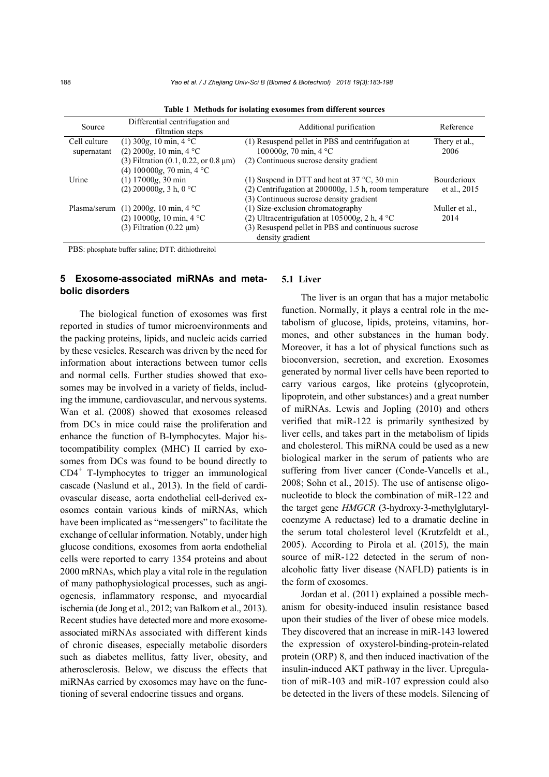| Source       | Differential centrifugation and<br>filtration steps         | Additional purification                                  | Reference          |
|--------------|-------------------------------------------------------------|----------------------------------------------------------|--------------------|
| Cell culture | $(1)$ 300g, 10 min, 4 °C                                    | (1) Resuspend pellet in PBS and centrifugation at        | Thery et al.,      |
| supernatant  | $(2)$ 2000g, 10 min, 4 °C                                   | $100000g$ , 70 min, 4 °C                                 | 2006               |
|              | (3) Filtration $(0.1, 0.22, \text{ or } 0.8 \,\mu\text{m})$ | (2) Continuous sucrose density gradient                  |                    |
|              | (4) $100000g$ , 70 min, 4 °C                                |                                                          |                    |
| Urine        | $(1)$ 17000g, 30 min                                        | (1) Suspend in DTT and heat at $37^{\circ}$ C, 30 min    | <b>Bourderioux</b> |
|              | $(2)$ 200000g, 3 h, 0 °C                                    | $(2)$ Centrifugation at 200000g, 1.5 h, room temperature | et al., 2015       |
|              |                                                             | (3) Continuous sucrose density gradient                  |                    |
|              | Plasma/serum (1) 2000g, 10 min, $4^{\circ}$ C               | (1) Size-exclusion chromatography                        | Muller et al.,     |
|              | (2) 10000g, 10 min, 4 $^{\circ}$ C                          | (2) Ultracentriguration at $105000g$ , 2 h, 4 °C         | 2014               |
|              | $(3)$ Filtration $(0.22 \mu m)$                             | (3) Resuspend pellet in PBS and continuous sucrose       |                    |
|              |                                                             | density gradient                                         |                    |

**Table 1 Methods for isolating exosomes from different sources** 

PBS: phosphate buffer saline; DTT: dithiothreitol

## **5 Exosome-associated miRNAs and metabolic disorders**

The biological function of exosomes was first reported in studies of tumor microenvironments and the packing proteins, lipids, and nucleic acids carried by these vesicles. Research was driven by the need for information about interactions between tumor cells and normal cells. Further studies showed that exosomes may be involved in a variety of fields, including the immune, cardiovascular, and nervous systems. Wan et al. (2008) showed that exosomes released from DCs in mice could raise the proliferation and enhance the function of B-lymphocytes. Major histocompatibility complex (MHC) II carried by exosomes from DCs was found to be bound directly to CD4<sup>+</sup> T-lymphocytes to trigger an immunological cascade (Naslund et al., 2013). In the field of cardiovascular disease, aorta endothelial cell-derived exosomes contain various kinds of miRNAs, which have been implicated as "messengers" to facilitate the exchange of cellular information. Notably, under high glucose conditions, exosomes from aorta endothelial cells were reported to carry 1354 proteins and about 2000 mRNAs, which play a vital role in the regulation of many pathophysiological processes, such as angiogenesis, inflammatory response, and myocardial ischemia (de Jong et al., 2012; van Balkom et al., 2013). Recent studies have detected more and more exosomeassociated miRNAs associated with different kinds of chronic diseases, especially metabolic disorders such as diabetes mellitus, fatty liver, obesity, and atherosclerosis. Below, we discuss the effects that miRNAs carried by exosomes may have on the functioning of several endocrine tissues and organs.

#### **5.1 Liver**

The liver is an organ that has a major metabolic function. Normally, it plays a central role in the metabolism of glucose, lipids, proteins, vitamins, hormones, and other substances in the human body. Moreover, it has a lot of physical functions such as bioconversion, secretion, and excretion. Exosomes generated by normal liver cells have been reported to carry various cargos, like proteins (glycoprotein, lipoprotein, and other substances) and a great number of miRNAs. Lewis and Jopling (2010) and others verified that miR-122 is primarily synthesized by liver cells, and takes part in the metabolism of lipids and cholesterol. This miRNA could be used as a new biological marker in the serum of patients who are suffering from liver cancer (Conde-Vancells et al., 2008; Sohn et al., 2015). The use of antisense oligonucleotide to block the combination of miR-122 and the target gene *HMGCR* (3-hydroxy-3-methylglutarylcoenzyme A reductase) led to a dramatic decline in the serum total cholesterol level (Krutzfeldt et al., 2005). According to Pirola et al. (2015), the main source of miR-122 detected in the serum of nonalcoholic fatty liver disease (NAFLD) patients is in the form of exosomes.

Jordan et al. (2011) explained a possible mechanism for obesity-induced insulin resistance based upon their studies of the liver of obese mice models. They discovered that an increase in miR-143 lowered the expression of oxysterol-binding-protein-related protein (ORP) 8, and then induced inactivation of the insulin-induced AKT pathway in the liver. Upregulation of miR-103 and miR-107 expression could also be detected in the livers of these models. Silencing of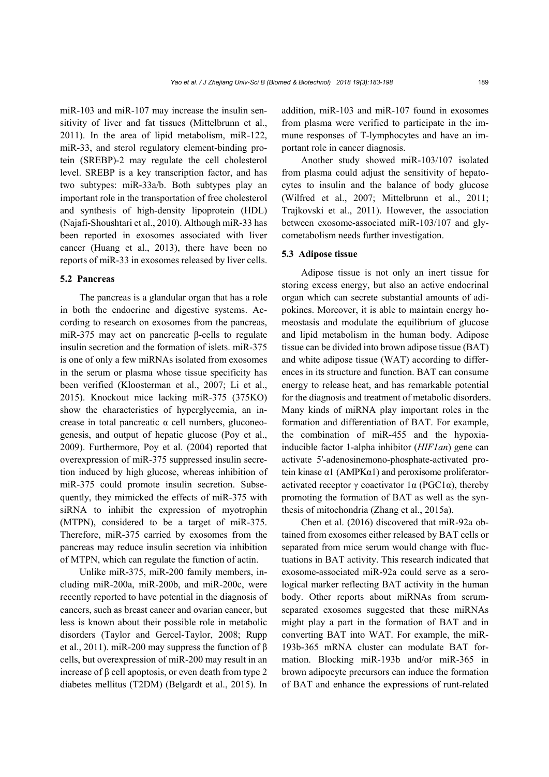miR-103 and miR-107 may increase the insulin sensitivity of liver and fat tissues (Mittelbrunn et al., 2011). In the area of lipid metabolism, miR-122, miR-33, and sterol regulatory element-binding protein (SREBP)-2 may regulate the cell cholesterol level. SREBP is a key transcription factor, and has two subtypes: miR-33a/b. Both subtypes play an important role in the transportation of free cholesterol and synthesis of high-density lipoprotein (HDL) (Najafi-Shoushtari et al., 2010). Although miR-33 has been reported in exosomes associated with liver cancer (Huang et al., 2013), there have been no reports of miR-33 in exosomes released by liver cells.

#### **5.2 Pancreas**

The pancreas is a glandular organ that has a role in both the endocrine and digestive systems. According to research on exosomes from the pancreas, miR-375 may act on pancreatic β-cells to regulate insulin secretion and the formation of islets. miR-375 is one of only a few miRNAs isolated from exosomes in the serum or plasma whose tissue specificity has been verified (Kloosterman et al., 2007; Li et al., 2015). Knockout mice lacking miR-375 (375KO) show the characteristics of hyperglycemia, an increase in total pancreatic α cell numbers, gluconeogenesis, and output of hepatic glucose (Poy et al., 2009). Furthermore, Poy et al. (2004) reported that overexpression of miR-375 suppressed insulin secretion induced by high glucose, whereas inhibition of miR-375 could promote insulin secretion. Subsequently, they mimicked the effects of miR-375 with siRNA to inhibit the expression of myotrophin (MTPN), considered to be a target of miR-375. Therefore, miR-375 carried by exosomes from the pancreas may reduce insulin secretion via inhibition of MTPN, which can regulate the function of actin.

Unlike miR-375, miR-200 family members, including miR-200a, miR-200b, and miR-200c, were recently reported to have potential in the diagnosis of cancers, such as breast cancer and ovarian cancer, but less is known about their possible role in metabolic disorders (Taylor and Gercel-Taylor, 2008; Rupp et al., 2011). miR-200 may suppress the function of β cells, but overexpression of miR-200 may result in an increase of β cell apoptosis, or even death from type 2 diabetes mellitus (T2DM) (Belgardt et al., 2015). In

addition, miR-103 and miR-107 found in exosomes from plasma were verified to participate in the immune responses of T-lymphocytes and have an important role in cancer diagnosis.

Another study showed miR-103/107 isolated from plasma could adjust the sensitivity of hepatocytes to insulin and the balance of body glucose (Wilfred et al., 2007; Mittelbrunn et al., 2011; Trajkovski et al., 2011). However, the association between exosome-associated miR-103/107 and glycometabolism needs further investigation.

#### **5.3 Adipose tissue**

Adipose tissue is not only an inert tissue for storing excess energy, but also an active endocrinal organ which can secrete substantial amounts of adipokines. Moreover, it is able to maintain energy homeostasis and modulate the equilibrium of glucose and lipid metabolism in the human body. Adipose tissue can be divided into brown adipose tissue (BAT) and white adipose tissue (WAT) according to differences in its structure and function. BAT can consume energy to release heat, and has remarkable potential for the diagnosis and treatment of metabolic disorders. Many kinds of miRNA play important roles in the formation and differentiation of BAT. For example, the combination of miR-455 and the hypoxiainducible factor 1-alpha inhibitor (*HIF1an*) gene can activate 5'-adenosinemono-phosphate-activated protein kinase α1 (AMPKα1) and peroxisome proliferatoractivated receptor γ coactivator  $1α$  (PGC1α), thereby promoting the formation of BAT as well as the synthesis of mitochondria (Zhang et al., 2015a).

Chen et al. (2016) discovered that miR-92a obtained from exosomes either released by BAT cells or separated from mice serum would change with fluctuations in BAT activity. This research indicated that exosome-associated miR-92a could serve as a serological marker reflecting BAT activity in the human body. Other reports about miRNAs from serumseparated exosomes suggested that these miRNAs might play a part in the formation of BAT and in converting BAT into WAT. For example, the miR-193b-365 mRNA cluster can modulate BAT formation. Blocking miR-193b and/or miR-365 in brown adipocyte precursors can induce the formation of BAT and enhance the expressions of runt-related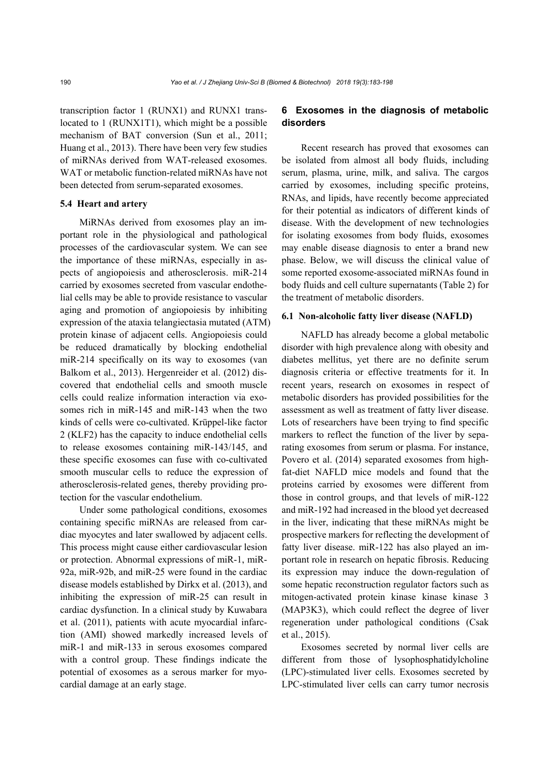transcription factor 1 (RUNX1) and RUNX1 translocated to 1 (RUNX1T1), which might be a possible mechanism of BAT conversion (Sun et al., 2011; Huang et al., 2013). There have been very few studies of miRNAs derived from WAT-released exosomes. WAT or metabolic function-related miRNAs have not been detected from serum-separated exosomes.

#### **5.4 Heart and artery**

MiRNAs derived from exosomes play an important role in the physiological and pathological processes of the cardiovascular system. We can see the importance of these miRNAs, especially in aspects of angiopoiesis and atherosclerosis. miR-214 carried by exosomes secreted from vascular endothelial cells may be able to provide resistance to vascular aging and promotion of angiopoiesis by inhibiting expression of the ataxia telangiectasia mutated (ATM) protein kinase of adjacent cells. Angiopoiesis could be reduced dramatically by blocking endothelial miR-214 specifically on its way to exosomes (van Balkom et al., 2013). Hergenreider et al. (2012) discovered that endothelial cells and smooth muscle cells could realize information interaction via exosomes rich in miR-145 and miR-143 when the two kinds of cells were co-cultivated. Krüppel-like factor 2 (KLF2) has the capacity to induce endothelial cells to release exosomes containing miR-143/145, and these specific exosomes can fuse with co-cultivated smooth muscular cells to reduce the expression of atherosclerosis-related genes, thereby providing protection for the vascular endothelium.

Under some pathological conditions, exosomes containing specific miRNAs are released from cardiac myocytes and later swallowed by adjacent cells. This process might cause either cardiovascular lesion or protection. Abnormal expressions of miR-1, miR-92a, miR-92b, and miR-25 were found in the cardiac disease models established by Dirkx et al. (2013), and inhibiting the expression of miR-25 can result in cardiac dysfunction. In a clinical study by Kuwabara et al. (2011), patients with acute myocardial infarction (AMI) showed markedly increased levels of miR-1 and miR-133 in serous exosomes compared with a control group. These findings indicate the potential of exosomes as a serous marker for myocardial damage at an early stage.

## **6 Exosomes in the diagnosis of metabolic disorders**

Recent research has proved that exosomes can be isolated from almost all body fluids, including serum, plasma, urine, milk, and saliva. The cargos carried by exosomes, including specific proteins, RNAs, and lipids, have recently become appreciated for their potential as indicators of different kinds of disease. With the development of new technologies for isolating exosomes from body fluids, exosomes may enable disease diagnosis to enter a brand new phase. Below, we will discuss the clinical value of some reported exosome-associated miRNAs found in body fluids and cell culture supernatants (Table 2) for the treatment of metabolic disorders.

#### **6.1 Non-alcoholic fatty liver disease (NAFLD)**

NAFLD has already become a global metabolic disorder with high prevalence along with obesity and diabetes mellitus, yet there are no definite serum diagnosis criteria or effective treatments for it. In recent years, research on exosomes in respect of metabolic disorders has provided possibilities for the assessment as well as treatment of fatty liver disease. Lots of researchers have been trying to find specific markers to reflect the function of the liver by separating exosomes from serum or plasma. For instance, Povero et al. (2014) separated exosomes from highfat-diet NAFLD mice models and found that the proteins carried by exosomes were different from those in control groups, and that levels of miR-122 and miR-192 had increased in the blood yet decreased in the liver, indicating that these miRNAs might be prospective markers for reflecting the development of fatty liver disease. miR-122 has also played an important role in research on hepatic fibrosis. Reducing its expression may induce the down-regulation of some hepatic reconstruction regulator factors such as mitogen-activated protein kinase kinase kinase 3 (MAP3K3), which could reflect the degree of liver regeneration under pathological conditions (Csak et al., 2015).

Exosomes secreted by normal liver cells are different from those of lysophosphatidylcholine (LPC)-stimulated liver cells. Exosomes secreted by LPC-stimulated liver cells can carry tumor necrosis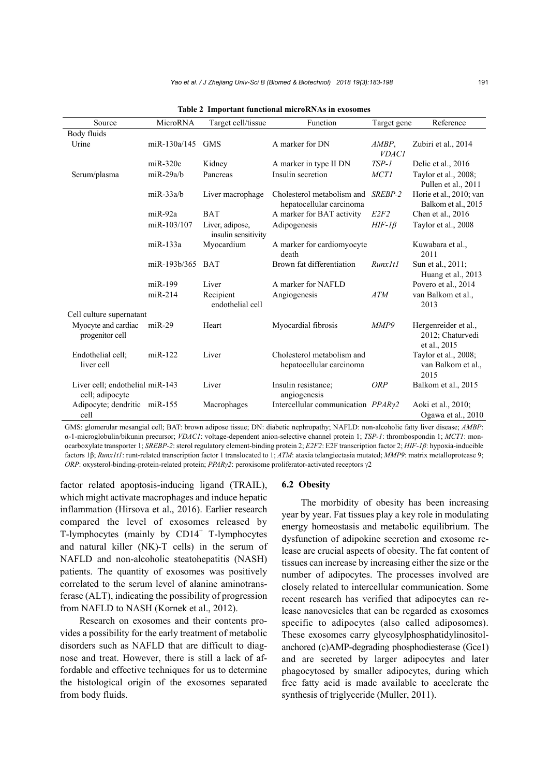| Source                                             | MicroRNA         | Target cell/tissue                     | Function                                               | Target gene           | Reference                                                |
|----------------------------------------------------|------------------|----------------------------------------|--------------------------------------------------------|-----------------------|----------------------------------------------------------|
| Body fluids                                        |                  |                                        |                                                        |                       |                                                          |
| Urine                                              | miR-130a/145     | <b>GMS</b>                             | A marker for DN                                        | AMBP,<br><i>VDAC1</i> | Zubiri et al., 2014                                      |
|                                                    | $miR-320c$       | Kidney                                 | A marker in type II DN                                 | $TSP-1$               | Delic et al., 2016                                       |
| Serum/plasma                                       | $miR-29a/b$      | Pancreas                               | Insulin secretion                                      | <b>MCT1</b>           | Taylor et al., 2008;<br>Pullen et al., 2011              |
|                                                    | $miR-33a/b$      | Liver macrophage                       | Cholesterol metabolism and<br>hepatocellular carcinoma | SREBP-2               | Horie et al., 2010; van<br>Balkom et al., 2015           |
|                                                    | $miR-92a$        | <b>BAT</b>                             | A marker for BAT activity                              | E2F2                  | Chen et al., 2016                                        |
|                                                    | miR-103/107      | Liver, adipose,<br>insulin sensitivity | Adipogenesis                                           | $HIF-I\beta$          | Taylor et al., 2008                                      |
|                                                    | miR-133a         | Myocardium                             | A marker for cardiomyocyte<br>death                    |                       | Kuwabara et al.,<br>2011                                 |
|                                                    | miR-193b/365 BAT |                                        | Brown fat differentiation                              | RunxIt1               | Sun et al., 2011;<br>Huang et al., 2013                  |
|                                                    | miR-199          | Liver                                  | A marker for NAFLD                                     |                       | Povero et al., 2014                                      |
|                                                    | $miR-214$        | Recipient<br>endothelial cell          | Angiogenesis                                           | <b>ATM</b>            | van Balkom et al.,<br>2013                               |
| Cell culture supernatant                           |                  |                                        |                                                        |                       |                                                          |
| Myocyte and cardiac<br>progenitor cell             | $miR-29$         | Heart                                  | Myocardial fibrosis                                    | MMP9                  | Hergenreider et al.,<br>2012; Chaturvedi<br>et al., 2015 |
| Endothelial cell:<br>liver cell                    | $miR-122$        | Liver                                  | Cholesterol metabolism and<br>hepatocellular carcinoma |                       | Taylor et al., 2008;<br>van Balkom et al.,<br>2015       |
| Liver cell; endothelial miR-143<br>cell; adipocyte |                  | Liver                                  | Insulin resistance:<br>angiogenesis                    | <b>ORP</b>            | Balkom et al., 2015                                      |
| Adipocyte; dendritic miR-155<br>cell               |                  | Macrophages                            | Intercellular communication PPARy2                     |                       | Aoki et al., 2010;<br>Ogawa et al., 2010                 |

**Table 2 Important functional microRNAs in exosomes** 

GMS: glomerular mesangial cell; BAT: brown adipose tissue; DN: diabetic nephropathy; NAFLD: non-alcoholic fatty liver disease; *AMBP*: α-1-microglobulin/bikunin precursor; *VDAC1*: voltage-dependent anion-selective channel protein 1; *TSP-1*: thrombospondin 1; *MCT1*: monocarboxylate transporter 1; *SREBP-2*: sterol regulatory element-binding protein 2; *E2F2*: E2F transcription factor 2; *HIF-1β*: hypoxia-inducible factors 1β; *Runx1t1*: runt-related transcription factor 1 translocated to 1; *ATM*: ataxia telangiectasia mutated; *MMP9*: matrix metalloprotease 9; *ORP*: oxysterol-binding-protein-related protein; *PPARγ2*: peroxisome proliferator-activated receptors γ2

factor related apoptosis-inducing ligand (TRAIL), which might activate macrophages and induce hepatic inflammation (Hirsova et al., 2016). Earlier research compared the level of exosomes released by T-lymphocytes (mainly by  $CD14<sup>+</sup>$  T-lymphocytes and natural killer (NK)-T cells) in the serum of NAFLD and non-alcoholic steatohepatitis (NASH) patients. The quantity of exosomes was positively correlated to the serum level of alanine aminotransferase (ALT), indicating the possibility of progression from NAFLD to NASH (Kornek et al., 2012).

Research on exosomes and their contents provides a possibility for the early treatment of metabolic disorders such as NAFLD that are difficult to diagnose and treat. However, there is still a lack of affordable and effective techniques for us to determine the histological origin of the exosomes separated from body fluids.

#### **6.2 Obesity**

The morbidity of obesity has been increasing year by year. Fat tissues play a key role in modulating energy homeostasis and metabolic equilibrium. The dysfunction of adipokine secretion and exosome release are crucial aspects of obesity. The fat content of tissues can increase by increasing either the size or the number of adipocytes. The processes involved are closely related to intercellular communication. Some recent research has verified that adipocytes can release nanovesicles that can be regarded as exosomes specific to adipocytes (also called adiposomes). These exosomes carry glycosylphosphatidylinositolanchored (c)AMP-degrading phosphodiesterase (Gce1) and are secreted by larger adipocytes and later phagocytosed by smaller adipocytes, during which free fatty acid is made available to accelerate the synthesis of triglyceride (Muller, 2011).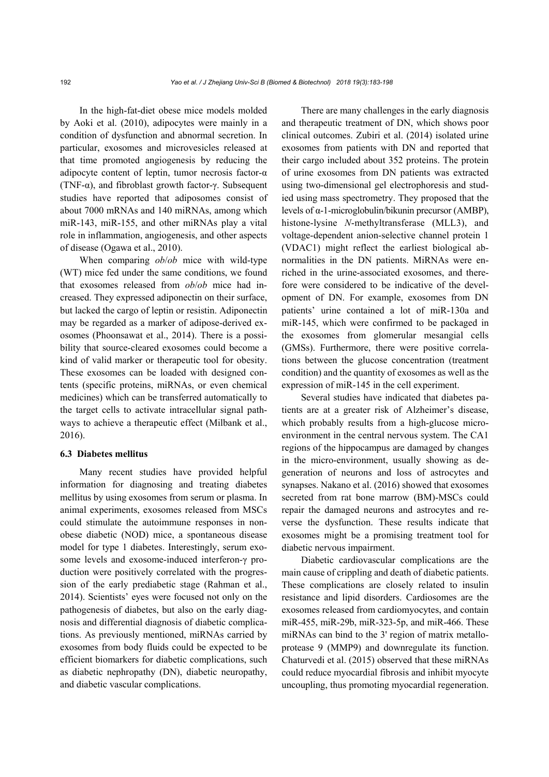In the high-fat-diet obese mice models molded by Aoki et al. (2010), adipocytes were mainly in a condition of dysfunction and abnormal secretion. In particular, exosomes and microvesicles released at that time promoted angiogenesis by reducing the adipocyte content of leptin, tumor necrosis factor-α (TNF-α), and fibroblast growth factor-γ. Subsequent studies have reported that adiposomes consist of about 7000 mRNAs and 140 miRNAs, among which miR-143, miR-155, and other miRNAs play a vital role in inflammation, angiogenesis, and other aspects of disease (Ogawa et al., 2010).

When comparing *ob*/*ob* mice with wild-type (WT) mice fed under the same conditions, we found that exosomes released from *ob*/*ob* mice had increased. They expressed adiponectin on their surface, but lacked the cargo of leptin or resistin. Adiponectin may be regarded as a marker of adipose-derived exosomes (Phoonsawat et al., 2014). There is a possibility that source-cleared exosomes could become a kind of valid marker or therapeutic tool for obesity. These exosomes can be loaded with designed contents (specific proteins, miRNAs, or even chemical medicines) which can be transferred automatically to the target cells to activate intracellular signal pathways to achieve a therapeutic effect (Milbank et al., 2016).

### **6.3 Diabetes mellitus**

Many recent studies have provided helpful information for diagnosing and treating diabetes mellitus by using exosomes from serum or plasma. In animal experiments, exosomes released from MSCs could stimulate the autoimmune responses in nonobese diabetic (NOD) mice, a spontaneous disease model for type 1 diabetes. Interestingly, serum exosome levels and exosome-induced interferon-γ production were positively correlated with the progression of the early prediabetic stage (Rahman et al., 2014). Scientists' eyes were focused not only on the pathogenesis of diabetes, but also on the early diagnosis and differential diagnosis of diabetic complications. As previously mentioned, miRNAs carried by exosomes from body fluids could be expected to be efficient biomarkers for diabetic complications, such as diabetic nephropathy (DN), diabetic neuropathy, and diabetic vascular complications.

There are many challenges in the early diagnosis and therapeutic treatment of DN, which shows poor clinical outcomes. Zubiri et al. (2014) isolated urine exosomes from patients with DN and reported that their cargo included about 352 proteins. The protein of urine exosomes from DN patients was extracted using two-dimensional gel electrophoresis and studied using mass spectrometry. They proposed that the levels of α-1-microglobulin/bikunin precursor (AMBP), histone-lysine *N*-methyltransferase (MLL3), and voltage-dependent anion-selective channel protein 1 (VDAC1) might reflect the earliest biological abnormalities in the DN patients. MiRNAs were enriched in the urine-associated exosomes, and therefore were considered to be indicative of the development of DN. For example, exosomes from DN patients' urine contained a lot of miR-130a and miR-145, which were confirmed to be packaged in the exosomes from glomerular mesangial cells (GMSs). Furthermore, there were positive correlations between the glucose concentration (treatment condition) and the quantity of exosomes as well as the expression of miR-145 in the cell experiment.

Several studies have indicated that diabetes patients are at a greater risk of Alzheimer's disease, which probably results from a high-glucose microenvironment in the central nervous system. The CA1 regions of the hippocampus are damaged by changes in the micro-environment, usually showing as degeneration of neurons and loss of astrocytes and synapses. Nakano et al. (2016) showed that exosomes secreted from rat bone marrow (BM)-MSCs could repair the damaged neurons and astrocytes and reverse the dysfunction. These results indicate that exosomes might be a promising treatment tool for diabetic nervous impairment.

Diabetic cardiovascular complications are the main cause of crippling and death of diabetic patients. These complications are closely related to insulin resistance and lipid disorders. Cardiosomes are the exosomes released from cardiomyocytes, and contain miR-455, miR-29b, miR-323-5p, and miR-466. These miRNAs can bind to the 3' region of matrix metalloprotease 9 (MMP9) and downregulate its function. Chaturvedi et al. (2015) observed that these miRNAs could reduce myocardial fibrosis and inhibit myocyte uncoupling, thus promoting myocardial regeneration.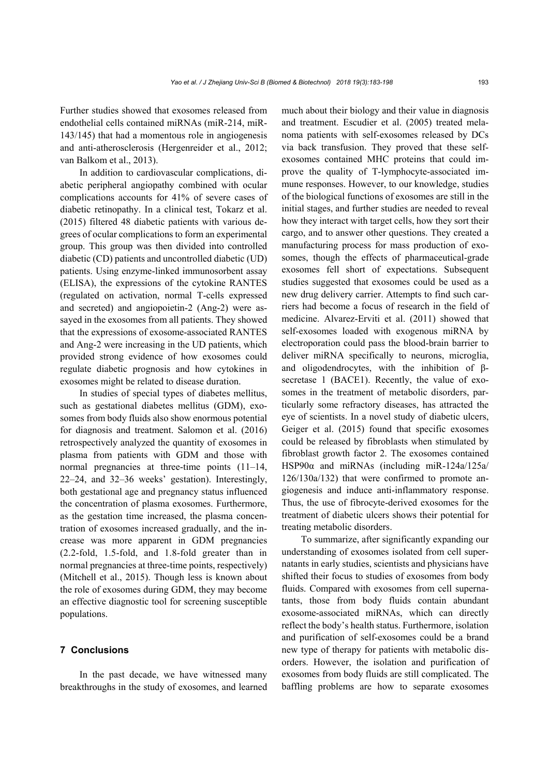Further studies showed that exosomes released from endothelial cells contained miRNAs (miR-214, miR-143/145) that had a momentous role in angiogenesis and anti-atherosclerosis (Hergenreider et al., 2012; van Balkom et al., 2013).

In addition to cardiovascular complications, diabetic peripheral angiopathy combined with ocular complications accounts for 41% of severe cases of diabetic retinopathy. In a clinical test, Tokarz et al. (2015) filtered 48 diabetic patients with various degrees of ocular complications to form an experimental group. This group was then divided into controlled diabetic (CD) patients and uncontrolled diabetic (UD) patients. Using enzyme-linked immunosorbent assay (ELISA), the expressions of the cytokine RANTES (regulated on activation, normal T-cells expressed and secreted) and angiopoietin-2 (Ang-2) were assayed in the exosomes from all patients. They showed that the expressions of exosome-associated RANTES and Ang-2 were increasing in the UD patients, which provided strong evidence of how exosomes could regulate diabetic prognosis and how cytokines in exosomes might be related to disease duration.

In studies of special types of diabetes mellitus, such as gestational diabetes mellitus (GDM), exosomes from body fluids also show enormous potential for diagnosis and treatment. Salomon et al. (2016) retrospectively analyzed the quantity of exosomes in plasma from patients with GDM and those with normal pregnancies at three-time points (11–14, 22–24, and 32–36 weeks' gestation). Interestingly, both gestational age and pregnancy status influenced the concentration of plasma exosomes. Furthermore, as the gestation time increased, the plasma concentration of exosomes increased gradually, and the increase was more apparent in GDM pregnancies (2.2-fold, 1.5-fold, and 1.8-fold greater than in normal pregnancies at three-time points, respectively) (Mitchell et al., 2015). Though less is known about the role of exosomes during GDM, they may become an effective diagnostic tool for screening susceptible populations.

## **7 Conclusions**

In the past decade, we have witnessed many breakthroughs in the study of exosomes, and learned much about their biology and their value in diagnosis and treatment. Escudier et al. (2005) treated melanoma patients with self-exosomes released by DCs via back transfusion. They proved that these selfexosomes contained MHC proteins that could improve the quality of T-lymphocyte-associated immune responses. However, to our knowledge, studies of the biological functions of exosomes are still in the initial stages, and further studies are needed to reveal how they interact with target cells, how they sort their cargo, and to answer other questions. They created a manufacturing process for mass production of exosomes, though the effects of pharmaceutical-grade exosomes fell short of expectations. Subsequent studies suggested that exosomes could be used as a new drug delivery carrier. Attempts to find such carriers had become a focus of research in the field of medicine. Alvarez-Erviti et al. (2011) showed that self-exosomes loaded with exogenous miRNA by electroporation could pass the blood-brain barrier to deliver miRNA specifically to neurons, microglia, and oligodendrocytes, with the inhibition of βsecretase 1 (BACE1). Recently, the value of exosomes in the treatment of metabolic disorders, particularly some refractory diseases, has attracted the eye of scientists. In a novel study of diabetic ulcers, Geiger et al. (2015) found that specific exosomes could be released by fibroblasts when stimulated by fibroblast growth factor 2. The exosomes contained HSP90α and miRNAs (including miR-124a/125a/ 126/130a/132) that were confirmed to promote angiogenesis and induce anti-inflammatory response. Thus, the use of fibrocyte-derived exosomes for the treatment of diabetic ulcers shows their potential for treating metabolic disorders.

To summarize, after significantly expanding our understanding of exosomes isolated from cell supernatants in early studies, scientists and physicians have shifted their focus to studies of exosomes from body fluids. Compared with exosomes from cell supernatants, those from body fluids contain abundant exosome-associated miRNAs, which can directly reflect the body's health status. Furthermore, isolation and purification of self-exosomes could be a brand new type of therapy for patients with metabolic disorders. However, the isolation and purification of exosomes from body fluids are still complicated. The baffling problems are how to separate exosomes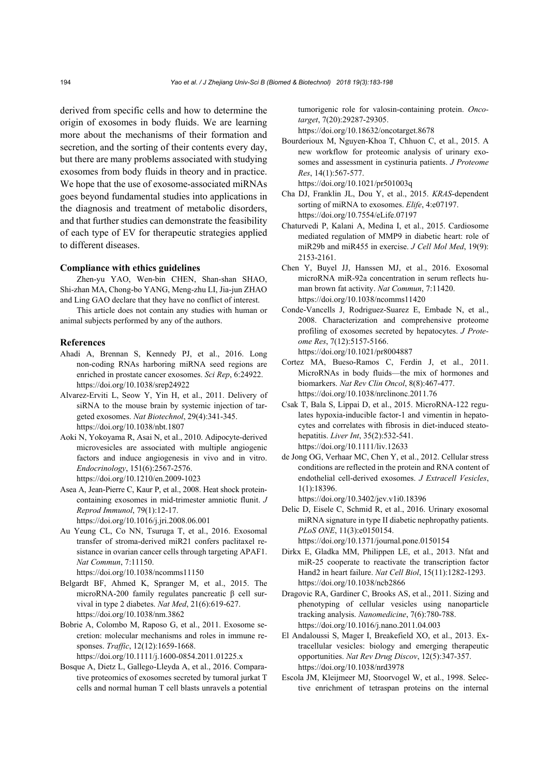derived from specific cells and how to determine the origin of exosomes in body fluids. We are learning more about the mechanisms of their formation and secretion, and the sorting of their contents every day, but there are many problems associated with studying exosomes from body fluids in theory and in practice. We hope that the use of exosome-associated miRNAs goes beyond fundamental studies into applications in the diagnosis and treatment of metabolic disorders, and that further studies can demonstrate the feasibility of each type of EV for therapeutic strategies applied to different diseases.

#### **Compliance with ethics guidelines**

Zhen-yu YAO, Wen-bin CHEN, Shan-shan SHAO, Shi-zhan MA, Chong-bo YANG, Meng-zhu LI, Jia-jun ZHAO and Ling GAO declare that they have no conflict of interest.

This article does not contain any studies with human or animal subjects performed by any of the authors.

#### **References**

- Ahadi A, Brennan S, Kennedy PJ, et al., 2016. Long non-coding RNAs harboring miRNA seed regions are enriched in prostate cancer exosomes. *Sci Rep*, 6:24922. https://doi.org/10.1038/srep24922
- Alvarez-Erviti L, Seow Y, Yin H, et al., 2011. Delivery of siRNA to the mouse brain by systemic injection of targeted exosomes. *Nat Biotechnol*, 29(4):341-345. https://doi.org/10.1038/nbt.1807
- Aoki N, Yokoyama R, Asai N, et al., 2010. Adipocyte-derived microvesicles are associated with multiple angiogenic factors and induce angiogenesis in vivo and in vitro. *Endocrinology*, 151(6):2567-2576. https://doi.org/10.1210/en.2009-1023
- Asea A, Jean-Pierre C, Kaur P, et al., 2008. Heat shock proteincontaining exosomes in mid-trimester amniotic flunit. *J Reprod Immunol*, 79(1):12-17. https://doi.org/10.1016/j.jri.2008.06.001
- Au Yeung CL, Co NN, Tsuruga T, et al., 2016. Exosomal transfer of stroma-derived miR21 confers paclitaxel resistance in ovarian cancer cells through targeting APAF1. *Nat Commun*, 7:11150.

https://doi.org/10.1038/ncomms11150

- Belgardt BF, Ahmed K, Spranger M, et al., 2015. The microRNA-200 family regulates pancreatic β cell survival in type 2 diabetes. *Nat Med*, 21(6):619-627. https://doi.org/10.1038/nm.3862
- Bobrie A, Colombo M, Raposo G, et al., 2011. Exosome secretion: molecular mechanisms and roles in immune responses. *Traffic*, 12(12):1659-1668. https://doi.org/10.1111/j.1600-0854.2011.01225.x
- Bosque A, Dietz L, Gallego-Lleyda A, et al., 2016. Comparative proteomics of exosomes secreted by tumoral jurkat T cells and normal human T cell blasts unravels a potential

tumorigenic role for valosin-containing protein. *Oncotarget*, 7(20):29287-29305.

https://doi.org/10.18632/oncotarget.8678

- Bourderioux M, Nguyen-Khoa T, Chhuon C, et al., 2015. A new workflow for proteomic analysis of urinary exosomes and assessment in cystinuria patients. *J Proteome Res*, 14(1):567-577.
- https://doi.org/10.1021/pr501003q Cha DJ, Franklin JL, Dou Y, et al., 2015. *KRAS*-dependent sorting of miRNA to exosomes. *Elife*, 4:e07197.

https://doi.org/10.7554/eLife.07197

- Chaturvedi P, Kalani A, Medina I, et al., 2015. Cardiosome mediated regulation of MMP9 in diabetic heart: role of miR29b and miR455 in exercise. *J Cell Mol Med*, 19(9): 2153-2161.
- Chen Y, Buyel JJ, Hanssen MJ, et al., 2016. Exosomal microRNA miR-92a concentration in serum reflects human brown fat activity. *Nat Commun*, 7:11420. https://doi.org/10.1038/ncomms11420
- Conde-Vancells J, Rodriguez-Suarez E, Embade N, et al., 2008. Characterization and comprehensive proteome profiling of exosomes secreted by hepatocytes. *J Proteome Res*, 7(12):5157-5166. https://doi.org/10.1021/pr8004887
- Cortez MA, Bueso-Ramos C, Ferdin J, et al., 2011. MicroRNAs in body fluids—the mix of hormones and biomarkers. *Nat Rev Clin Oncol*, 8(8):467-477. https://doi.org/10.1038/nrclinonc.2011.76
- Csak T, Bala S, Lippai D, et al., 2015. MicroRNA-122 regulates hypoxia-inducible factor-1 and vimentin in hepatocytes and correlates with fibrosis in diet-induced steatohepatitis. *Liver Int*, 35(2):532-541. https://doi.org/10.1111/liv.12633
- de Jong OG, Verhaar MC, Chen Y, et al., 2012. Cellular stress conditions are reflected in the protein and RNA content of endothelial cell-derived exosomes. *J Extracell Vesicles*, 1(1):18396.

https://doi.org/10.3402/jev.v1i0.18396

- Delic D, Eisele C, Schmid R, et al., 2016. Urinary exosomal miRNA signature in type II diabetic nephropathy patients. *PLoS ONE*, 11(3):e0150154. https://doi.org/10.1371/journal.pone.0150154
- Dirkx E, Gladka MM, Philippen LE, et al., 2013. Nfat and miR-25 cooperate to reactivate the transcription factor Hand2 in heart failure. *Nat Cell Biol*, 15(11):1282-1293. https://doi.org/10.1038/ncb2866
- Dragovic RA, Gardiner C, Brooks AS, et al., 2011. Sizing and phenotyping of cellular vesicles using nanoparticle tracking analysis. *Nanomedicine*, 7(6):780-788. https://doi.org/10.1016/j.nano.2011.04.003
- El Andaloussi S, Mager I, Breakefield XO, et al., 2013. Extracellular vesicles: biology and emerging therapeutic opportunities. *Nat Rev Drug Discov*, 12(5):347-357. https://doi.org/10.1038/nrd3978
- Escola JM, Kleijmeer MJ, Stoorvogel W, et al., 1998. Selective enrichment of tetraspan proteins on the internal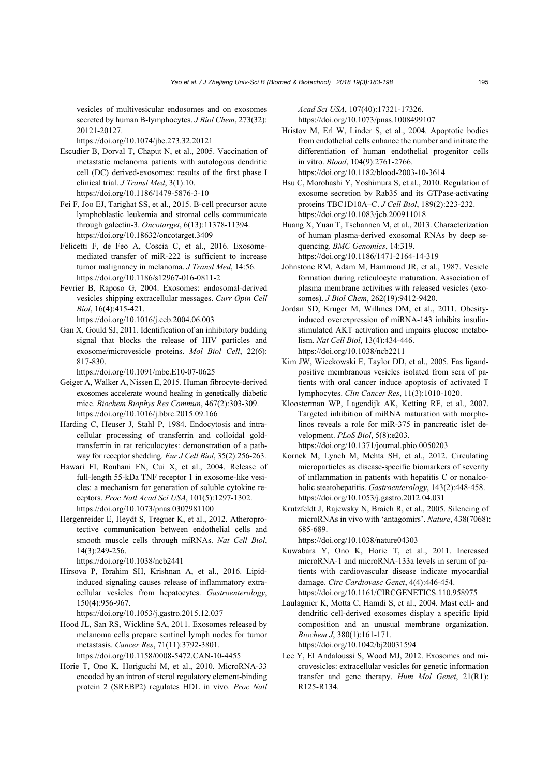vesicles of multivesicular endosomes and on exosomes secreted by human B-lymphocytes. *J Biol Chem*, 273(32): 20121-20127.

https://doi.org/10.1074/jbc.273.32.20121

- Escudier B, Dorval T, Chaput N, et al., 2005. Vaccination of metastatic melanoma patients with autologous dendritic cell (DC) derived-exosomes: results of the first phase I clinical trial. *J Transl Med*, 3(1):10. https://doi.org/10.1186/1479-5876-3-10
- Fei F, Joo EJ, Tarighat SS, et al., 2015. B-cell precursor acute lymphoblastic leukemia and stromal cells communicate through galectin-3. *Oncotarget*, 6(13):11378-11394. https://doi.org/10.18632/oncotarget.3409
- Felicetti F, de Feo A, Coscia C, et al., 2016. Exosomemediated transfer of miR-222 is sufficient to increase tumor malignancy in melanoma. *J Transl Med*, 14:56. https://doi.org/10.1186/s12967-016-0811-2
- Fevrier B, Raposo G, 2004. Exosomes: endosomal-derived vesicles shipping extracellular messages. *Curr Opin Cell Biol*, 16(4):415-421.

https://doi.org/10.1016/j.ceb.2004.06.003

Gan X, Gould SJ, 2011. Identification of an inhibitory budding signal that blocks the release of HIV particles and exosome/microvesicle proteins. *Mol Biol Cell*, 22(6): 817-830.

https://doi.org/10.1091/mbc.E10-07-0625

- Geiger A, Walker A, Nissen E, 2015. Human fibrocyte-derived exosomes accelerate wound healing in genetically diabetic mice. *Biochem Biophys Res Commun*, 467(2):303-309. https://doi.org/10.1016/j.bbrc.2015.09.166
- Harding C, Heuser J, Stahl P, 1984. Endocytosis and intracellular processing of transferrin and colloidal goldtransferrin in rat reticulocytes: demonstration of a pathway for receptor shedding. *Eur J Cell Biol*, 35(2):256-263.
- Hawari FI, Rouhani FN, Cui X, et al., 2004. Release of full-length 55-kDa TNF receptor 1 in exosome-like vesicles: a mechanism for generation of soluble cytokine receptors. *Proc Natl Acad Sci USA*, 101(5):1297-1302. https://doi.org/10.1073/pnas.0307981100
- Hergenreider E, Heydt S, Treguer K, et al., 2012. Atheroprotective communication between endothelial cells and smooth muscle cells through miRNAs. *Nat Cell Biol*, 14(3):249-256.

https://doi.org/10.1038/ncb2441

Hirsova P, Ibrahim SH, Krishnan A, et al., 2016. Lipidinduced signaling causes release of inflammatory extracellular vesicles from hepatocytes. *Gastroenterology*, 150(4):956-967.

https://doi.org/10.1053/j.gastro.2015.12.037

- Hood JL, San RS, Wickline SA, 2011. Exosomes released by melanoma cells prepare sentinel lymph nodes for tumor metastasis. *Cancer Res*, 71(11):3792-3801. https://doi.org/10.1158/0008-5472.CAN-10-4455
- Horie T, Ono K, Horiguchi M, et al., 2010. MicroRNA-33 encoded by an intron of sterol regulatory element-binding protein 2 (SREBP2) regulates HDL in vivo. *Proc Natl*

*Acad Sci USA*, 107(40):17321-17326. https://doi.org/10.1073/pnas.1008499107

- Hristov M, Erl W, Linder S, et al., 2004. Apoptotic bodies from endothelial cells enhance the number and initiate the differentiation of human endothelial progenitor cells in vitro. *Blood*, 104(9):2761-2766. https://doi.org/10.1182/blood-2003-10-3614
- Hsu C, Morohashi Y, Yoshimura S, et al., 2010. Regulation of exosome secretion by Rab35 and its GTPase-activating proteins TBC1D10A–C. *J Cell Biol*, 189(2):223-232. https://doi.org/10.1083/jcb.200911018
- Huang X, Yuan T, Tschannen M, et al., 2013. Characterization of human plasma-derived exosomal RNAs by deep sequencing. *BMC Genomics*, 14:319. https://doi.org/10.1186/1471-2164-14-319
- Johnstone RM, Adam M, Hammond JR, et al., 1987. Vesicle formation during reticulocyte maturation. Association of plasma membrane activities with released vesicles (exosomes). *J Biol Chem*, 262(19):9412-9420.
- Jordan SD, Kruger M, Willmes DM, et al., 2011. Obesityinduced overexpression of miRNA-143 inhibits insulinstimulated AKT activation and impairs glucose metabolism. *Nat Cell Biol*, 13(4):434-446. https://doi.org/10.1038/ncb2211
- Kim JW, Wieckowski E, Taylor DD, et al., 2005. Fas ligandpositive membranous vesicles isolated from sera of patients with oral cancer induce apoptosis of activated T lymphocytes. *Clin Cancer Res*, 11(3):1010-1020.
- Kloosterman WP, Lagendijk AK, Ketting RF, et al., 2007. Targeted inhibition of miRNA maturation with morpholinos reveals a role for miR-375 in pancreatic islet development. *PLoS Biol*, 5(8):e203. https://doi.org/10.1371/journal.pbio.0050203
- Kornek M, Lynch M, Mehta SH, et al., 2012. Circulating microparticles as disease-specific biomarkers of severity of inflammation in patients with hepatitis C or nonalcoholic steatohepatitis. *Gastroenterology*, 143(2):448-458. https://doi.org/10.1053/j.gastro.2012.04.031
- Krutzfeldt J, Rajewsky N, Braich R, et al., 2005. Silencing of microRNAs in vivo with 'antagomirs'. *Nature*, 438(7068): 685-689.

https://doi.org/10.1038/nature04303

- Kuwabara Y, Ono K, Horie T, et al., 2011. Increased microRNA-1 and microRNA-133a levels in serum of patients with cardiovascular disease indicate myocardial damage. *Circ Cardiovasc Genet*, 4(4):446-454. https://doi.org/10.1161/CIRCGENETICS.110.958975
- Laulagnier K, Motta C, Hamdi S, et al., 2004. Mast cell- and dendritic cell-derived exosomes display a specific lipid composition and an unusual membrane organization. *Biochem J*, 380(1):161-171. https://doi.org/10.1042/bj20031594
- Lee Y, El Andaloussi S, Wood MJ, 2012. Exosomes and microvesicles: extracellular vesicles for genetic information transfer and gene therapy. *Hum Mol Genet*, 21(R1): R125-R134.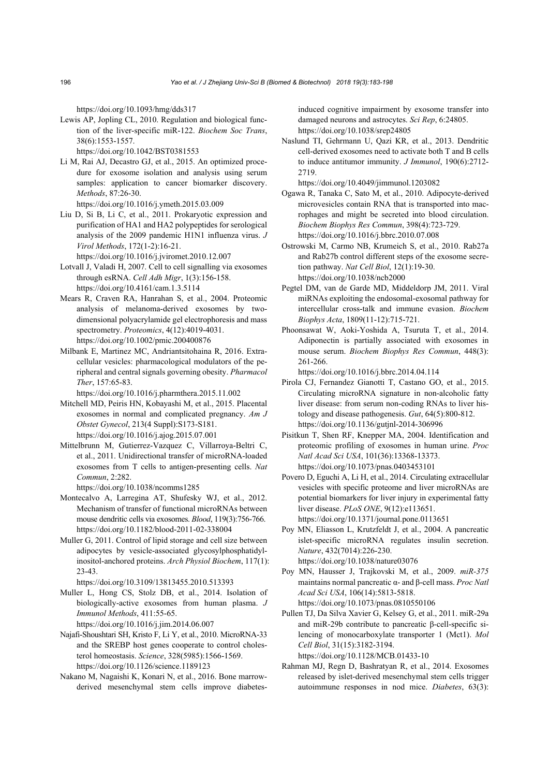https://doi.org/10.1093/hmg/dds317

Lewis AP, Jopling CL, 2010. Regulation and biological function of the liver-specific miR-122. *Biochem Soc Trans*, 38(6):1553-1557.

https://doi.org/10.1042/BST0381553

- Li M, Rai AJ, Decastro GJ, et al., 2015. An optimized procedure for exosome isolation and analysis using serum samples: application to cancer biomarker discovery. *Methods*, 87:26-30. https://doi.org/10.1016/j.ymeth.2015.03.009
- Liu D, Si B, Li C, et al., 2011. Prokaryotic expression and purification of HA1 and HA2 polypeptides for serological analysis of the 2009 pandemic H1N1 influenza virus. *J Virol Methods*, 172(1-2):16-21.

https://doi.org/10.1016/j.jviromet.2010.12.007

- Lotvall J, Valadi H, 2007. Cell to cell signalling via exosomes through esRNA. *Cell Adh Migr*, 1(3):156-158. https://doi.org/10.4161/cam.1.3.5114
- Mears R, Craven RA, Hanrahan S, et al., 2004. Proteomic analysis of melanoma-derived exosomes by twodimensional polyacrylamide gel electrophoresis and mass spectrometry. *Proteomics*, 4(12):4019-4031. https://doi.org/10.1002/pmic.200400876
- Milbank E, Martinez MC, Andriantsitohaina R, 2016. Extracellular vesicles: pharmacological modulators of the peripheral and central signals governing obesity. *Pharmacol Ther*, 157:65-83.

https://doi.org/10.1016/j.pharmthera.2015.11.002

Mitchell MD, Peiris HN, Kobayashi M, et al., 2015. Placental exosomes in normal and complicated pregnancy. *Am J Obstet Gynecol*, 213(4 Suppl):S173-S181. https://doi.org/10.1016/j.ajog.2015.07.001

Mittelbrunn M, Gutierrez-Vazquez C, Villarroya-Beltri C, et al., 2011. Unidirectional transfer of microRNA-loaded exosomes from T cells to antigen-presenting cells. *Nat Commun*, 2:282.

https://doi.org/10.1038/ncomms1285

- Montecalvo A, Larregina AT, Shufesky WJ, et al., 2012. Mechanism of transfer of functional microRNAs between mouse dendritic cells via exosomes. *Blood*, 119(3):756-766. https://doi.org/10.1182/blood-2011-02-338004
- Muller G, 2011. Control of lipid storage and cell size between adipocytes by vesicle-associated glycosylphosphatidylinositol-anchored proteins. *Arch Physiol Biochem*, 117(1): 23-43.

https://doi.org/10.3109/13813455.2010.513393

- Muller L, Hong CS, Stolz DB, et al., 2014. Isolation of biologically-active exosomes from human plasma. *J Immunol Methods*, 411:55-65. https://doi.org/10.1016/j.jim.2014.06.007
- Najafi-Shoushtari SH, Kristo F, Li Y, et al., 2010. MicroRNA-33 and the SREBP host genes cooperate to control cholesterol homeostasis. *Science*, 328(5985):1566-1569. https://doi.org/10.1126/science.1189123
- Nakano M, Nagaishi K, Konari N, et al., 2016. Bone marrowderived mesenchymal stem cells improve diabetes-

induced cognitive impairment by exosome transfer into damaged neurons and astrocytes. *Sci Rep*, 6:24805. https://doi.org/10.1038/srep24805

Naslund TI, Gehrmann U, Qazi KR, et al., 2013. Dendritic cell-derived exosomes need to activate both T and B cells to induce antitumor immunity. *J Immunol*, 190(6):2712- 2719.

https://doi.org/10.4049/jimmunol.1203082

- Ogawa R, Tanaka C, Sato M, et al., 2010. Adipocyte-derived microvesicles contain RNA that is transported into macrophages and might be secreted into blood circulation. *Biochem Biophys Res Commun*, 398(4):723-729. https://doi.org/10.1016/j.bbrc.2010.07.008
- Ostrowski M, Carmo NB, Krumeich S, et al., 2010. Rab27a and Rab27b control different steps of the exosome secretion pathway. *Nat Cell Biol*, 12(1):19-30. https://doi.org/10.1038/ncb2000
- Pegtel DM, van de Garde MD, Middeldorp JM, 2011. Viral miRNAs exploiting the endosomal-exosomal pathway for intercellular cross-talk and immune evasion. *Biochem Biophys Acta*, 1809(11-12):715-721.
- Phoonsawat W, Aoki-Yoshida A, Tsuruta T, et al., 2014. Adiponectin is partially associated with exosomes in mouse serum. *Biochem Biophys Res Commun*, 448(3): 261-266.

https://doi.org/10.1016/j.bbrc.2014.04.114

- Pirola CJ, Fernandez Gianotti T, Castano GO, et al., 2015. Circulating microRNA signature in non-alcoholic fatty liver disease: from serum non-coding RNAs to liver histology and disease pathogenesis. *Gut*, 64(5):800-812. https://doi.org/10.1136/gutjnl-2014-306996
- Pisitkun T, Shen RF, Knepper MA, 2004. Identification and proteomic profiling of exosomes in human urine. *Proc Natl Acad Sci USA*, 101(36):13368-13373. https://doi.org/10.1073/pnas.0403453101
- Povero D, Eguchi A, Li H, et al., 2014. Circulating extracellular vesicles with specific proteome and liver microRNAs are potential biomarkers for liver injury in experimental fatty liver disease. *PLoS ONE*, 9(12):e113651. https://doi.org/10.1371/journal.pone.0113651
- Poy MN, Eliasson L, Krutzfeldt J, et al., 2004. A pancreatic islet-specific microRNA regulates insulin secretion. *Nature*, 432(7014):226-230. https://doi.org/10.1038/nature03076
- Poy MN, Hausser J, Trajkovski M, et al., 2009. *miR-375* maintains normal pancreatic α- and β-cell mass. *Proc Natl Acad Sci USA*, 106(14):5813-5818. https://doi.org/10.1073/pnas.0810550106
- Pullen TJ, Da Silva Xavier G, Kelsey G, et al., 2011. miR-29a and miR-29b contribute to pancreatic β-cell-specific silencing of monocarboxylate transporter 1 (Mct1). *Mol Cell Biol*, 31(15):3182-3194. https://doi.org/10.1128/MCB.01433-10
- Rahman MJ, Regn D, Bashratyan R, et al., 2014. Exosomes released by islet-derived mesenchymal stem cells trigger autoimmune responses in nod mice. *Diabetes*, 63(3):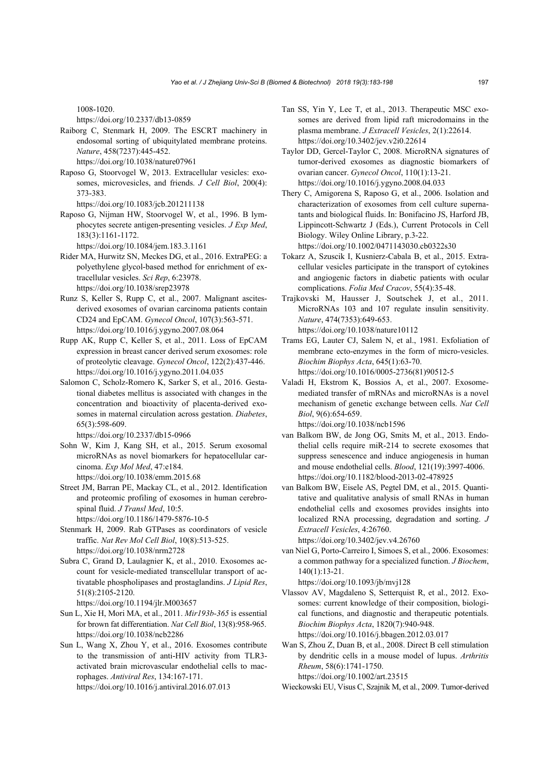1008-1020.

https://doi.org/10.2337/db13-0859

- Raiborg C, Stenmark H, 2009. The ESCRT machinery in endosomal sorting of ubiquitylated membrane proteins. *Nature*, 458(7237):445-452. https://doi.org/10.1038/nature07961
- Raposo G, Stoorvogel W, 2013. Extracellular vesicles: exosomes, microvesicles, and friends. *J Cell Biol*, 200(4): 373-383.
	- https://doi.org/10.1083/jcb.201211138
- Raposo G, Nijman HW, Stoorvogel W, et al., 1996. B lymphocytes secrete antigen-presenting vesicles. *J Exp Med*, 183(3):1161-1172.

https://doi.org/10.1084/jem.183.3.1161

- Rider MA, Hurwitz SN, Meckes DG, et al., 2016. ExtraPEG: a polyethylene glycol-based method for enrichment of extracellular vesicles. *Sci Rep*, 6:23978. https://doi.org/10.1038/srep23978
- Runz S, Keller S, Rupp C, et al., 2007. Malignant ascitesderived exosomes of ovarian carcinoma patients contain CD24 and EpCAM. *Gynecol Oncol*, 107(3):563-571. https://doi.org/10.1016/j.ygyno.2007.08.064
- Rupp AK, Rupp C, Keller S, et al., 2011. Loss of EpCAM expression in breast cancer derived serum exosomes: role of proteolytic cleavage. *Gynecol Oncol*, 122(2):437-446. https://doi.org/10.1016/j.ygyno.2011.04.035
- Salomon C, Scholz-Romero K, Sarker S, et al., 2016. Gestational diabetes mellitus is associated with changes in the concentration and bioactivity of placenta-derived exosomes in maternal circulation across gestation. *Diabetes*, 65(3):598-609.

https://doi.org/10.2337/db15-0966

- Sohn W, Kim J, Kang SH, et al., 2015. Serum exosomal microRNAs as novel biomarkers for hepatocellular carcinoma. *Exp Mol Med*, 47:e184. https://doi.org/10.1038/emm.2015.68
- Street JM, Barran PE, Mackay CL, et al., 2012. Identification and proteomic profiling of exosomes in human cerebrospinal fluid. *J Transl Med*, 10:5. https://doi.org/10.1186/1479-5876-10-5
- Stenmark H, 2009. Rab GTPases as coordinators of vesicle traffic. *Nat Rev Mol Cell Biol*, 10(8):513-525. https://doi.org/10.1038/nrm2728
- Subra C, Grand D, Laulagnier K, et al., 2010. Exosomes account for vesicle-mediated transcellular transport of activatable phospholipases and prostaglandins. *J Lipid Res*, 51(8):2105-2120.

https://doi.org/10.1194/jlr.M003657

- Sun L, Xie H, Mori MA, et al., 2011. *Mir193b-365* is essential for brown fat differentiation. *Nat Cell Biol*, 13(8):958-965. https://doi.org/10.1038/ncb2286
- Sun L, Wang X, Zhou Y, et al., 2016. Exosomes contribute to the transmission of anti-HIV activity from TLR3 activated brain microvascular endothelial cells to macrophages. *Antiviral Res*, 134:167-171. https://doi.org/10.1016/j.antiviral.2016.07.013
- Tan SS, Yin Y, Lee T, et al., 2013. Therapeutic MSC exosomes are derived from lipid raft microdomains in the plasma membrane. *J Extracell Vesicles*, 2(1):22614. https://doi.org/10.3402/jev.v2i0.22614
- Taylor DD, Gercel-Taylor C, 2008. MicroRNA signatures of tumor-derived exosomes as diagnostic biomarkers of ovarian cancer. *Gynecol Oncol*, 110(1):13-21. https://doi.org/10.1016/j.ygyno.2008.04.033
- Thery C, Amigorena S, Raposo G, et al., 2006. Isolation and characterization of exosomes from cell culture supernatants and biological fluids. In: Bonifacino JS, Harford JB, Lippincott-Schwartz J (Eds.), Current Protocols in Cell Biology. Wiley Online Library, p.3-22. https://doi.org/10.1002/0471143030.cb0322s30
- Tokarz A, Szuscik I, Kusnierz-Cabala B, et al., 2015. Extracellular vesicles participate in the transport of cytokines and angiogenic factors in diabetic patients with ocular complications. *Folia Med Cracov*, 55(4):35-48.
- Trajkovski M, Hausser J, Soutschek J, et al., 2011. MicroRNAs 103 and 107 regulate insulin sensitivity. *Nature*, 474(7353):649-653. https://doi.org/10.1038/nature10112
- Trams EG, Lauter CJ, Salem N, et al., 1981. Exfoliation of membrane ecto-enzymes in the form of micro-vesicles. *Biochim Biophys Acta*, 645(1):63-70. https://doi.org/10.1016/0005-2736(81)90512-5
- Valadi H, Ekstrom K, Bossios A, et al., 2007. Exosomemediated transfer of mRNAs and microRNAs is a novel mechanism of genetic exchange between cells. *Nat Cell Biol*, 9(6):654-659. https://doi.org/10.1038/ncb1596
- van Balkom BW, de Jong OG, Smits M, et al., 2013. Endothelial cells require miR-214 to secrete exosomes that suppress senescence and induce angiogenesis in human and mouse endothelial cells. *Blood*, 121(19):3997-4006. https://doi.org/10.1182/blood-2013-02-478925
- van Balkom BW, Eisele AS, Pegtel DM, et al., 2015. Quantitative and qualitative analysis of small RNAs in human endothelial cells and exosomes provides insights into localized RNA processing, degradation and sorting. *J Extracell Vesicles*, 4:26760.

https://doi.org/10.3402/jev.v4.26760

van Niel G, Porto-Carreiro I, Simoes S, et al., 2006. Exosomes: a common pathway for a specialized function. *J Biochem*, 140(1):13-21.

https://doi.org/10.1093/jb/mvj128

Vlassov AV, Magdaleno S, Setterquist R, et al., 2012. Exosomes: current knowledge of their composition, biological functions, and diagnostic and therapeutic potentials. *Biochim Biophys Acta*, 1820(7):940-948. https://doi.org/10.1016/j.bbagen.2012.03.017

Wan S, Zhou Z, Duan B, et al., 2008. Direct B cell stimulation by dendritic cells in a mouse model of lupus. *Arthritis Rheum*, 58(6):1741-1750. https://doi.org/10.1002/art.23515

Wieckowski EU, Visus C, Szajnik M, et al., 2009. Tumor-derived